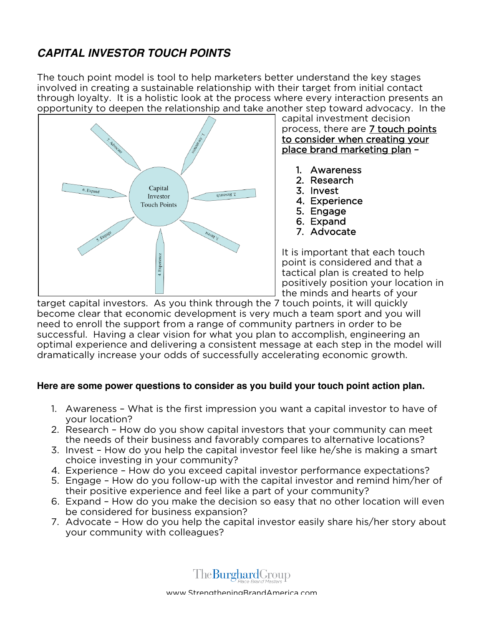## **CAPITAL INVESTOR TOUCH POINTS**

The touch point model is tool to help marketers better understand the key stages involved in creating a sustainable relationship with their target from initial contact through loyalty. It is a holistic look at the process where every interaction presents an opportunity to deepen the relationship and take another step toward advocacy. In the



capital investment decision process, there are 7 touch points to consider when creating your place brand marketing plan –

- 1. Awareness
- 2. Research
- 3. Invest
- 4. Experience
- 5. Engage
- 6. Expand
- 7. Advocate

It is important that each touch point is considered and that a tactical plan is created to help positively position your location in the minds and hearts of your

target capital investors. As you think through the 7 touch points, it will quickly become clear that economic development is very much a team sport and you will need to enroll the support from a range of community partners in order to be successful. Having a clear vision for what you plan to accomplish, engineering an optimal experience and delivering a consistent message at each step in the model will dramatically increase your odds of successfully accelerating economic growth.

## **Here are some power questions to consider as you build your touch point action plan.**

- 1. Awareness What is the first impression you want a capital investor to have of your location?
- 2. Research How do you show capital investors that your community can meet the needs of their business and favorably compares to alternative locations?
- 3. Invest How do you help the capital investor feel like he/she is making a smart choice investing in your community?
- 4. Experience How do you exceed capital investor performance expectations?
- 5. Engage How do you follow-up with the capital investor and remind him/her of their positive experience and feel like a part of your community?
- 6. Expand How do you make the decision so easy that no other location will even be considered for business expansion?
- 7. Advocate How do you help the capital investor easily share his/her story about your community with colleagues?